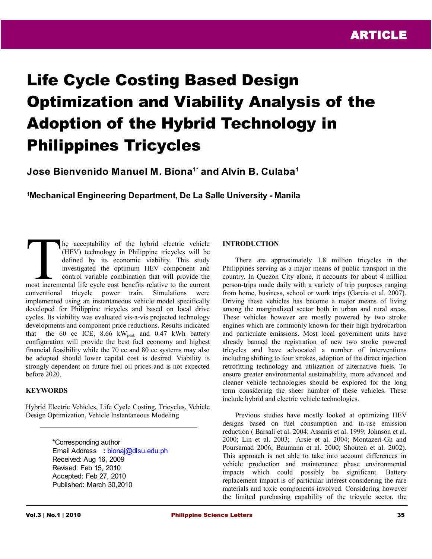# Life Cycle Costing Based Design Optimization and Viability Analysis of the Adoption of the Hybrid Technology in Philippines Tricycles

**Jose Bienvenido Manuel M. Biona1\* and Alvin B. Culaba<sup>1</sup>**

**<sup>1</sup>Mechanical Engineering Department, De La Salle University - Manila**

he acceptability of the hybrid electric vehicle (HEV) technology in Philippine tricycles will be defined by its economic viability. This study investigated the optimum HEV component and control variable combination that will provide the The acceptability of the hybrid electric vehicle<br>
(HEV) technology in Philippine tricycles will be<br>
defined by its economic viability. This study<br>
investigated the optimum HEV component and<br>
control variable combination th conventional tricycle power train. Simulations were implemented using an instantaneous vehicle model specifically developed for Philippine tricycles and based on local drive cycles. Its viability was evaluated vis-a-vis projected technology developments and component price reductions. Results indicated that the  $60$  cc ICE,  $8.66$  kW<sub>peak</sub> and  $0.47$  kWh battery configuration will provide the best fuel economy and highest financial feasibility while the 70 cc and 80 cc systems may also be adopted should lower capital cost is desired. Viability is strongly dependent on future fuel oil prices and is not expected before 2020.

## **KEYWORDS**

Hybrid Electric Vehicles, Life Cycle Costing, Tricycles, Vehicle Design Optimization, Vehicle Instantaneous Modeling

> \*Corresponding author Email Address **:** [bionaj@dlsu.edu.ph](mailto:bionaj@dlsu.edu.ph) Received: Aug 16, 2009 Revised: Feb 15, 2010 Accepted: Feb 27, 2010 Published: March 30,2010

## **INTRODUCTION**

There are approximately 1.8 million tricycles in the Philippines serving as a major means of public transport in the country. In Quezon City alone, it accounts for about 4 million person-trips made daily with a variety of trip purposes ranging from home, business, school or work trips (Garcia et al. 2007). Driving these vehicles has become a major means of living among the marginalized sector both in urban and rural areas. These vehicles however are mostly powered by two stroke engines which are commonly known for their high hydrocarbon and particulate emissions. Most local government units have already banned the registration of new two stroke powered tricycles and have advocated a number of interventions including shifting to four strokes, adoption of the direct injection retrofitting technology and utilization of alternative fuels. To ensure greater environmental sustainability, more advanced and cleaner vehicle technologies should be explored for the long term considering the sheer number of these vehicles. These include hybrid and electric vehicle technologies.

Previous studies have mostly looked at optimizing HEV designs based on fuel consumption and in-use emission reduction ( Barsali et al. 2004; Assanis et al. 1999; Johnson et al. 2000; Lin et al. 2003; Arsie et al. 2004; Montazeri-Gh and Poursamad 2006; Baumann et al. 2000; Shouten et al. 2002). This approach is not able to take into account differences in vehicle production and maintenance phase environmental impacts which could possibly be significant. Battery replacement impact is of particular interest considering the rare materials and toxic components involved. Considering however the limited purchasing capability of the tricycle sector, the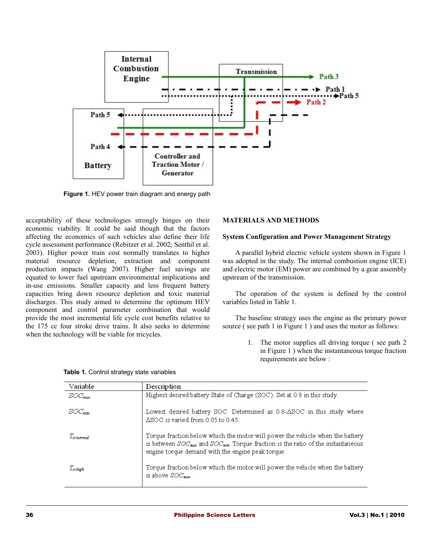

**Figure 1.** HEV power train diagram and energy path

acceptability of these technologies strongly hinges on their economic viability. It could be said though that the factors affecting the economics of such vehicles also define their life cycle assessment performance (Rebitzer et al. 2002; Senthil et al. 2003). Higher power train cost normally translates to higher material resource depletion, extraction and component production impacts (Wang 2007). Higher fuel savings are equated to lower fuel upstream environmental implications and in-use emissions. Smaller capacity and less frequent battery capacities bring down resource depletion and toxic material discharges. This study aimed to determine the optimum HEV component and control parameter combination that would provide the most incremental life cycle cost benefits relative to the 175 cc four stroke drive trains. It also seeks to determine when the technology will be viable for tricycles.

| <b>MATERIALS AND METHODS</b> |  |  |
|------------------------------|--|--|
|------------------------------|--|--|

# **System Configuration and Power Management Strategy**

A parallel hybrid electric vehicle system shown in Figure 1 was adopted in the study. The internal combustion engine (ICE) and electric motor (EM) power are combined by a gear assembly upstream of the transmission.

The operation of the system is defined by the control variables listed in Table 1.

The baseline strategy uses the engine as the primary power source ( see path 1 in Figure 1 ) and uses the motor as follows:

> 1. The motor supplies all driving torque ( see path 2 in Figure 1 ) when the instantaneous torque fraction requirements are below :

| Variable                  | Description                                                                                                                                                                                                                      |
|---------------------------|----------------------------------------------------------------------------------------------------------------------------------------------------------------------------------------------------------------------------------|
| $SOC_{max}$               | Highest desired battery State of Charge (SOC). Set at 0.8 in this study.                                                                                                                                                         |
| SOC <sub>min</sub>        | Lowest desired battery SOC. Determined as 0.8-ASOC in this study where<br>ASOC is varied from 0.05 to 0.45.                                                                                                                      |
| $T_{\alpha\text{-}nomal}$ | Torque fraction below which the motor will power the vehicle when the battery<br>is between $SOC_{max}$ and $SOC_{min}$ . Torque fraction is the ratio of the instantaneous<br>engine torque demand with the engine peak torque. |
| To-hieh                   | Torque fraction below which the motor will power the vehicle when the battery<br>is above $SOC_{\text{max}}$ .                                                                                                                   |

|  |  |  |  | <b>Table 1.</b> Control strategy state variables |
|--|--|--|--|--------------------------------------------------|
|--|--|--|--|--------------------------------------------------|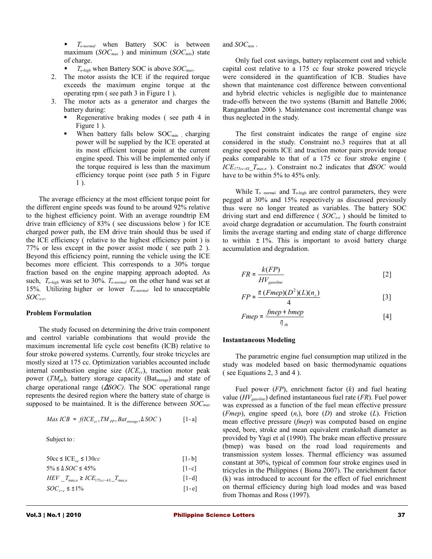■ *T<sub>o-normal</sub>* when Battery SOC is between maximum (*SOCmax* ) and minimum (*SOCmin*) state of charge.

- *To-high* when Battery SOC is above *SOCmax*.
- 2. The motor assists the ICE if the required torque exceeds the maximum engine torque at the operating rpm ( see path 3 in Figure 1 ).
- 3. The motor acts as a generator and charges the battery during:
	- Regenerative braking modes ( see path 4 in Figure 1 ).
	- When battery falls below  $SOC_{min}$ , charging power will be supplied by the ICE operated at its most efficient torque point at the current engine speed. This will be implemented only if the torque required is less than the maximum efficiency torque point (see path 5 in Figure 1 ).

The average efficiency at the most efficient torque point for the different engine speeds was found to be around 92% relative to the highest efficiency point. With an average roundtrip EM drive train efficiency of 83% ( see discussions below ) for ICE charged power path, the EM drive train should thus be used if the ICE efficiency ( relative to the highest efficiency point ) is 77% or less except in the power assist mode ( see path 2 ). Beyond this efficiency point, running the vehicle using the ICE becomes more efficient. This corresponds to a 30% torque fraction based on the engine mapping approach adopted. As such, *To-high* was set to 30%. *To-normal* on the other hand was set at 15%. Utilizing higher or lower *To-normal* led to unacceptable *SOCs-e*.

## **Problem Formulation**

The study focused on determining the drive train component and control variable combinations that would provide the maximum incremental life cycle cost benefits (ICB) relative to four stroke powered systems. Currently, four stroke tricycles are mostly sized at 175 cc. Optimization variables accounted include internal combustion engine size (*ICEcc*), traction motor peak power (*TM*<sub>pp</sub>), battery storage capacity (Bat<sub>storage</sub>) and state of charge operational range (∆*SOC)*. The SOC operational range represents the desired region where the battery state of charge is supposed to be maintained. It is the difference between *SOCmax*

$$
Max\,ICB = f(ICE_{cc}, TM_{PP}, Bat_{storage}, \Delta SOC) \qquad [1-a]
$$

Subject to :

 $50cc \leq ICE_{cc} \leq 130cc$  [1-b]

| $HEV = T_{\text{max},n} \geq ICE_{175cc-4S} = T_{\text{max},n}$ | $\lceil 1-d \rceil$ |
|-----------------------------------------------------------------|---------------------|
| $SOC_{s-e} \leq \pm 1\%$                                        | $[1-e]$             |

and *SOCmin* .

Only fuel cost savings, battery replacement cost and vehicle capital cost relative to a 175 cc four stroke powered tricycle were considered in the quantification of ICB. Studies have shown that maintenance cost difference between conventional and hybrid electric vehicles is negligible due to maintenance trade-offs between the two systems (Barnitt and Battelle 2006; Ranganathan 2006 ). Maintenance cost incremental change was thus neglected in the study.

The first constraint indicates the range of engine size considered in the study. Constraint no.3 requires that at all engine speed points ICE and traction motor pairs provide torque peaks comparable to that of a 175 cc four stroke engine ( *ICE175cc-4S\_Tmax,n* ). Constraint no.2 indicates that ∆*SOC* would have to be within 5% to 45% only.

While  $T_{o-normal}$  and  $T_{o-high}$  are control parameters, they were pegged at 30% and 15% respectively as discussed previously thus were no longer treated as variables. The battery SOC driving start and end difference ( *SOCs-e* ) should be limited to avoid charge degradation or accumulation. The fourth constraint limits the average starting and ending state of charge difference to within  $\pm$  1%. This is important to avoid battery charge accumulation and degradation.

$$
FR = \frac{k(FP)}{HV_{gasoline}} \tag{2}
$$

$$
FP = \frac{\pi (Fmep)(D^2)(L)(n_s)}{4}
$$
 [3]

$$
Fmep = \frac{fmep + bmep}{\eta_{th}}
$$
 [4]

#### **Instantaneous Modeling**

The parametric engine fuel consumption map utilized in the study was modeled based on basic thermodynamic equations ( see Equations 2, 3 and 4 ).

Fuel power (*FP*), enrichment factor (*k*) and fuel heating value (*HVgasoline*) defined instantaneous fuel rate (*FR*). Fuel power was expressed as a function of the fuel mean effective pressure (*Fmep*), engine speed (*ns*), bore (*D*) and stroke (*L*). Friction mean effective pressure (*fmep*) was computed based on engine speed, bore, stroke and mean equivalent crankshaft diameter as provided by Yagi et al (1990). The brake mean effective pressure (bmep) was based on the road load requirements and transmission system losses. Thermal efficiency was assumed constant at 30%, typical of common four stroke engines used in tricycles in the Philippines ( Biona 2007). The enrichment factor (k) was introduced to account for the effect of fuel enrichment on thermal efficiency during high load modes and was based from Thomas and Ross (1997).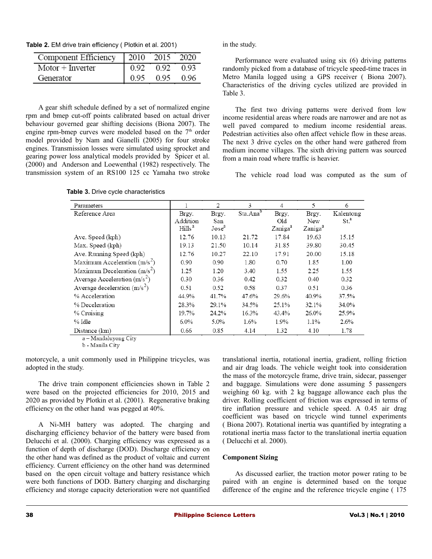**Table 2.** EM drive train efficiency ( Plotkin et al. 2001)

| Component Efficiency | 2010 | 2015 | 2020 |
|----------------------|------|------|------|
| $Motor + Inverter$   | 0.92 | 0.92 | 0.93 |
| Generator            | 0.95 | 0.95 | 0.96 |

A gear shift schedule defined by a set of normalized engine rpm and bmep cut-off points calibrated based on actual driver behaviour governed gear shifting decisions (Biona 2007). The engine rpm-bmep curves were modeled based on the  $7<sup>th</sup>$  order model provided by Nam and Gianelli (2005) for four stroke engines. Transmission losses were simulated using sprocket and gearing power loss analytical models provided by Spicer et al. (2000) and Anderson and Loewenthal (1982) respectively. The transmission system of an RS100 125 cc Yamaha two stroke

**Table 3.** Drive cycle characteristics

in the study.

Performance were evaluated using six (6) driving patterns randomly picked from a database of tricycle speed-time traces in Metro Manila logged using a GPS receiver ( Biona 2007). Characteristics of the driving cycles utilized are provided in Table 3.

The first two driving patterns were derived from low income residential areas where roads are narrower and are not as well paved compared to medium income residential areas. Pedestrian activities also often affect vehicle flow in these areas. The next 3 drive cycles on the other hand were gathered from medium income villages. The sixth driving pattern was sourced from a main road where traffic is heavier.

The vehicle road load was computed as the sum of

| Parameters                     |                    | 2                 | 3                    | $\overline{4}$      | 5                   | 6                |
|--------------------------------|--------------------|-------------------|----------------------|---------------------|---------------------|------------------|
| Reference Area                 | Brgy.              | Brgy.             | Sta.Ana <sup>b</sup> | Brgy,               | Brgy.               | Kalentong        |
|                                | Addition           | San               |                      | Old                 | New                 | St. <sup>a</sup> |
|                                | Hills <sup>a</sup> | Jose <sup>a</sup> |                      | Zaniga <sup>a</sup> | Zaniga <sup>a</sup> |                  |
| Ave. Speed (kph)               | 12.76              | 10.13             | 21.72                | 17.84               | 19.63               | 15.15            |
| Max. Speed (kph)               | 19.13              | 21.50             | 10.14                | 31.85               | 39.80               | 30.45            |
| Ave. Running Speed (kph)       | 12.76              | 10.27             | 22.10                | 17.91               | 20.00               | 15.18            |
| Maximum Acceleration $(m/s^2)$ | 0.90               | 0.90              | 1.80                 | 0.70                | 1.85                | 1.00             |
| Maximum Deceleration $(m/s^2)$ | 1.25               | 1.20              | 3.40                 | 1.55                | 2.25                | 1.55             |
| Average Acceleration $(m/s^2)$ | 0.30               | 0.36              | 0.42                 | 0.32                | 0.40                | 0.32             |
| Average deceleration $(m/s^2)$ | 0.51               | 0.52              | 0.58                 | 0.37                | 0.51                | 0.36             |
| % Acceleration                 | 44.9%              | 41.7%             | 47.6%                | 29.6%               | 40.9%               | 37.5%            |
| % Deceleration                 | 28.3%              | 29.1%             | 34.5%                | 25.1%               | 32.1%               | 34.0%            |
| % Cruising                     | 19.7%              | 24.2%             | 16.3%                | 43.4%               | 26.0%               | 25.9%            |
| % Idle                         | $6.0\%$            | 5.0%              | $1.6\%$              | 1.9%                | $1.1\%$             | 2.6%             |
| Distance (km)                  | 0.66               | 0.85              | 4.14                 | 1.32                | 4.10                | 1.78             |

a-Mandaluyong City

b - Manila City

motorcycle, a unit commonly used in Philippine tricycles, was adopted in the study.

The drive train component efficiencies shown in Table 2 were based on the projected efficiencies for 2010, 2015 and 2020 as provided by Plotkin et al. (2001). Regenerative braking efficiency on the other hand was pegged at 40%.

A Ni-MH battery was adopted. The charging and discharging efficiency behavior of the battery were based from Delucchi et al. (2000). Charging efficiency was expressed as a function of depth of discharge (DOD). Discharge efficiency on the other hand was defined as the product of voltaic and current efficiency. Current efficiency on the other hand was determined based on the open circuit voltage and battery resistance which were both functions of DOD. Battery charging and discharging efficiency and storage capacity deterioration were not quantified

translational inertia, rotational inertia, gradient, rolling friction and air drag loads. The vehicle weight took into consideration the mass of the motorcycle frame, drive train, sidecar, passenger and baggage. Simulations were done assuming 5 passengers weighing 60 kg. with 2 kg baggage allowance each plus the driver. Rolling coefficient of friction was expressed in terms of tire inflation pressure and vehicle speed. A 0.45 air drag coefficient was based on tricycle wind tunnel experiments ( Biona 2007). Rotational inertia was quantified by integrating a rotational inertia mass factor to the translational inertia equation ( Delucchi et al. 2000).

# **Component Sizing**

As discussed earlier, the traction motor power rating to be paired with an engine is determined based on the torque difference of the engine and the reference tricycle engine ( 175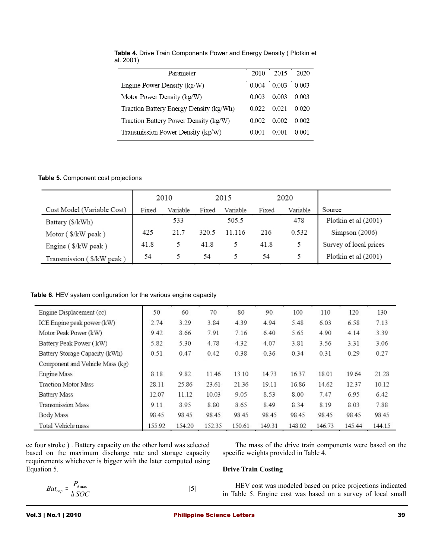| Parameter                               | 2010  | 2015  | 2020  |
|-----------------------------------------|-------|-------|-------|
| Engine Power Density (kg/W)             | 0.004 | 0.003 | 0.003 |
| Motor Power Density (kg/W)              | 0.003 | 0.003 | 0.003 |
| Traction Battery Energy Density (kg/Wh) | 0.022 | 0.021 | 0.020 |
| Traction Battery Power Density (kg/W)   | 0.002 | 0.002 | 0.002 |
| Transmission Power Density (kg/W)       | 0.001 | 0.001 | 0.001 |
|                                         |       |       |       |

**Table 4.** Drive Train Components Power and Energy Density ( Plotkin et al. 2001)

**Table 5.** Component cost projections

|                            |       | 2010     |       | 2015     |       | 2020     |                        |
|----------------------------|-------|----------|-------|----------|-------|----------|------------------------|
| Cost Model (Variable Cost) | Fixed | Variable | Fixed | Variable | Fixed | Variable | Source                 |
| Battery (\$/kWh)           |       | 533      |       | 505.5    |       | 478      | Plotkin et al (2001)   |
| Motor (\$/kW peak)         | 425   | 21.7     | 320.5 | 11.116   | 216   | 0.532    | Simpson $(2006)$       |
| Engine $(\$/kW$ peak)      | 41.8  | 5.       | 41.8  |          | 41.8  |          | Survey of local prices |
| Transmission (\$/kW peak)  | 54    |          | 54    |          | 54    |          | Plotkin et al (2001)   |

**Table 6.** HEV system configuration for the various engine capacity

| Engine Displacement (cc)        | 50     | 60     | 70     | 80     | 90     | 100    | 110    | 120    | 130    |
|---------------------------------|--------|--------|--------|--------|--------|--------|--------|--------|--------|
| ICE Engine peak power (kW)      | 2.74   | 3.29   | 3.84   | 4.39   | 4.94   | 5.48   | 6.03   | 6.58   | 7.13   |
| Motor Peak Power (kW)           | 9.42   | 8.66   | 7.91   | 7.16   | 6.40   | 5.65   | 4.90   | 4.14   | 3.39   |
| Battery Peak Power (kW)         | 5.82   | 5.30   | 4.78   | 4.32   | 4.07   | 3.81   | 3.56   | 3.31   | 3.06   |
| Battery Storage Capacity (kWh)  | 0.51   | 0.47   | 0.42   | 0.38   | 0.36   | 0.34   | 0.31   | 0.29   | 0.27   |
| Component and Vehicle Mass (kg) |        |        |        |        |        |        |        |        |        |
| Engine Mass                     | 8.18   | 9.82   | 11.46  | 13.10  | 14.73  | 16.37  | 18.01  | 19.64  | 21.28  |
| <b>Traction Motor Mass</b>      | 28.11  | 25.86  | 23.61  | 21.36  | 19.11  | 16.86  | 14.62  | 12.37  | 10.12  |
| Battery Mass                    | 12.07  | 11.12  | 10.03  | 9.05   | 8.53   | 8.00   | 7.47   | 6.95   | 6.42   |
| <b>Transmission Mass</b>        | 9.11   | 8.95   | 8.80   | 8.65   | 8.49   | 8.34   | 8.19   | 8.03   | 7.88   |
| Body Mass                       | 98.45  | 98.45  | 98.45  | 98.45  | 98.45  | 98.45  | 98.45  | 98.45  | 98.45  |
| Total Vehicle mass              | 155.92 | 154.20 | 152.35 | 150.61 | 149.31 | 148.02 | 146.73 | 145.44 | 144.15 |

cc four stroke ) . Battery capacity on the other hand was selected based on the maximum discharge rate and storage capacity requirements whichever is bigger with the later computed using Equation 5.

$$
Bat_{cap} = \frac{P_{d\max}}{\Delta SOC}
$$
 [5]

The mass of the drive train components were based on the specific weights provided in Table 4.

# **Drive Train Costing**

HEV cost was modeled based on price projections indicated in Table 5. Engine cost was based on a survey of local small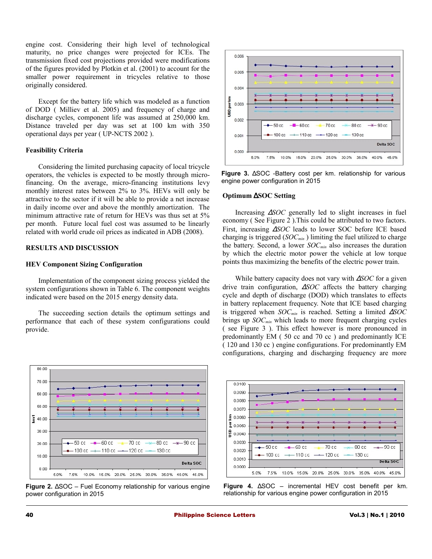engine cost. Considering their high level of technological maturity, no price changes were projected for ICEs. The transmission fixed cost projections provided were modifications of the figures provided by Plotkin et al. (2001) to account for the smaller power requirement in tricycles relative to those originally considered.

Except for the battery life which was modeled as a function of DOD ( Milliev et al. 2005) and frequency of charge and discharge cycles, component life was assumed at 250,000 km. Distance traveled per day was set at 100 km with 350 operational days per year ( UP-NCTS 2002 ).

#### **Feasibility Criteria**

Considering the limited purchasing capacity of local tricycle operators, the vehicles is expected to be mostly through microfinancing. On the average, micro-financing institutions levy monthly interest rates between 2% to 3%. HEVs will only be attractive to the sector if it will be able to provide a net increase in daily income over and above the monthly amortization. The minimum attractive rate of return for HEVs was thus set at 5% per month. Future local fuel cost was assumed to be linearly related with world crude oil prices as indicated in ADB (2008).

## **RESULTS AND DISCUSSION**

#### **HEV Component Sizing Configuration**

Implementation of the component sizing process yielded the system configurations shown in Table 6. The component weights indicated were based on the 2015 energy density data.

The succeeding section details the optimum settings and performance that each of these system configurations could provide.



**Figure 2.** ∆SOC – Fuel Economy relationship for various engine power configuration in 2015



**Figure 3.** ∆SOC -Battery cost per km. relationship for various engine power configuration in 2015

#### **Optimum** ∆**SOC Setting**

Increasing ∆*SOC* generally led to slight increases in fuel economy ( See Figure 2 ).This could be attributed to two factors. First, increasing ∆*SOC* leads to lower SOC before ICE based charging is triggered (*SOCmin* ) limiting the fuel utilized to charge the battery. Second, a lower *SOCmin* also increases the duration by which the electric motor power the vehicle at low torque points thus maximizing the benefits of the electric power train.

While battery capacity does not vary with ∆*SOC* for a given drive train configuration, ∆*SOC* affects the battery charging cycle and depth of discharge (DOD) which translates to effects in battery replacement frequency. Note that ICE based charging is triggered when *SOCmin* is reached. Setting a limited ∆*SOC* brings up *SOCmin* which leads to more frequent charging cycles ( see Figure 3 ). This effect however is more pronounced in predominantly EM ( 50 cc and 70 cc ) and predominantly ICE ( 120 and 130 cc ) engine configurations. For predominantly EM configurations, charging and discharging frequency are more



**Figure 4.** ∆SOC – incremental HEV cost benefit per km. relationship for various engine power configuration in 2015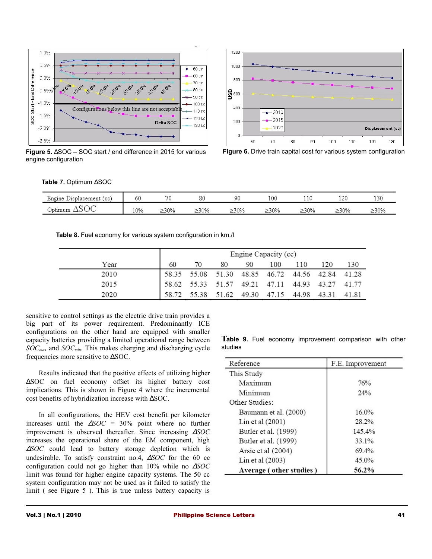

**Figure 5.** ∆SOC – SOC start / end difference in 2015 for various **Figure 6.** Drive train capital cost for various system configuration engine configuration



|  |  |  | Table 7. Optimum ∆SOC |  |
|--|--|--|-----------------------|--|
|--|--|--|-----------------------|--|

| - -<br>$\overline{\phantom{0}}$<br>Engine<br>Displacement<br>--- | 60  | σo   | oΔ<br>٥v | ۵r   | 100  | .   | 120  | 24<br>- 22                     |
|------------------------------------------------------------------|-----|------|----------|------|------|-----|------|--------------------------------|
| <b>All Man</b><br>$-$<br>)ntu<br>Optimum                         | 10% | -30% | $-30\%$  | ≥30% | -30% | 30% | ≥30% | 200<br>——————————————————————— |

**Table 8.** Fuel economy for various system configuration in km./l

|      | Engine Capacity (cc) |    |                                                                                                                                                                                              |  |            |  |     |     |
|------|----------------------|----|----------------------------------------------------------------------------------------------------------------------------------------------------------------------------------------------|--|------------|--|-----|-----|
| Year | 60                   | 70 | 80 —                                                                                                                                                                                         |  | 90 100 110 |  | 120 | 130 |
| 2010 |                      |    | $\begin{array}{ ccccccccccccccc }\hline 58.35 & 55.08 & 51.30 & 48.85 & 46.72 & 44.56 & 42.84 & 41.28 \\ 58.62 & 55.33 & 51.57 & 49.21 & 47.11 & 44.93 & 43.27 & 41.77 \\\hline \end{array}$ |  |            |  |     |     |
| 2015 |                      |    |                                                                                                                                                                                              |  |            |  |     |     |
| 2020 |                      |    | 58.72 55.38 51.62 49.30 47.15 44.98 43.31 41.81                                                                                                                                              |  |            |  |     |     |

sensitive to control settings as the electric drive train provides a big part of its power requirement. Predominantly ICE configurations on the other hand are equipped with smaller capacity batteries providing a limited operational range between *SOCma*<sup>x</sup> and *SOCmin*. This makes charging and discharging cycle frequencies more sensitive to ∆SOC.

Results indicated that the positive effects of utilizing higher ∆SOC on fuel economy offset its higher battery cost implications. This is shown in Figure 4 where the incremental cost benefits of hybridization increase with ∆SOC.

In all configurations, the HEV cost benefit per kilometer increases until the ∆*SOC* = 30% point where no further improvement is observed thereafter. Since increasing ∆*SOC* increases the operational share of the EM component, high <sup>∆</sup>*SOC* could lead to battery storage depletion which is undesirable. To satisfy constraint no.4, ∆*SOC* for the 60 cc configuration could not go higher than 10% while no ∆*SOC* limit was found for higher engine capacity systems. The 50 cc system configuration may not be used as it failed to satisfy the limit ( see Figure 5 ). This is true unless battery capacity is

|         |  | Table 9. Fuel economy improvement comparison with other |  |  |
|---------|--|---------------------------------------------------------|--|--|
| studies |  |                                                         |  |  |

| Reference               | F.E. Improvement |
|-------------------------|------------------|
| This Study              |                  |
| Maximum                 | 76%              |
| Minimum                 | 24%              |
| Other Studies:          |                  |
| Baumann et al. (2000)   | 16.0%            |
| Lin et al $(2001)$      | 28.2%            |
| Butler et al. (1999)    | 145.4%           |
| Butler et al. (1999)    | 33.1%            |
| Arsie et al (2004)      | 69.4%            |
| Lin et al $(2003)$      | 45.0%            |
| Average (other studies) | 56.2%            |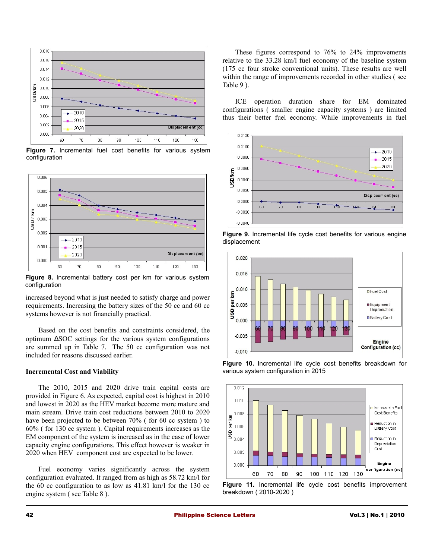

**Figure 7.** Incremental fuel cost benefits for various system configuration



**Figure 8.** Incremental battery cost per km for various system configuration

increased beyond what is just needed to satisfy charge and power requirements. Increasing the battery sizes of the 50 cc and 60 cc systems however is not financially practical.

Based on the cost benefits and constraints considered, the optimum ∆SOC settings for the various system configurations are summed up in Table 7. The 50 cc configuration was not included for reasons discussed earlier.

## **Incremental Cost and Viability**

The 2010, 2015 and 2020 drive train capital costs are provided in Figure 6. As expected, capital cost is highest in 2010 and lowest in 2020 as the HEV market become more mature and main stream. Drive train cost reductions between 2010 to 2020 have been projected to be between 70% (for 60 cc system) to 60% ( for 130 cc system ). Capital requirements increases as the EM component of the system is increased as in the case of lower capacity engine configurations. This effect however is weaker in 2020 when HEV component cost are expected to be lower.

Fuel economy varies significantly across the system configuration evaluated. It ranged from as high as 58.72 km/l for the 60 cc configuration to as low as 41.81 km/l for the 130 cc engine system ( see Table 8 ).

These figures correspond to 76% to 24% improvements relative to the 33.28 km/l fuel economy of the baseline system (175 cc four stroke conventional units). These results are well within the range of improvements recorded in other studies ( see Table 9 ).

ICE operation duration share for EM dominated configurations ( smaller engine capacity systems ) are limited thus their better fuel economy. While improvements in fuel



**Figure 9.** Incremental life cycle cost benefits for various engine displacement



**Figure 10.** Incremental life cycle cost benefits breakdown for various system configuration in 2015



Figure 11. Incremental life cycle cost benefits improvement breakdown ( 2010-2020 )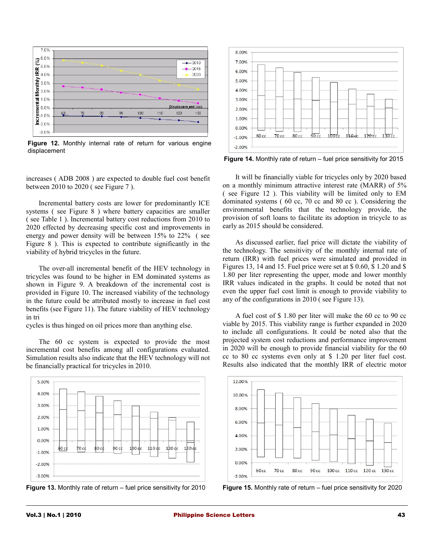

**Figure 12.** Monthly internal rate of return for various engine displacement

increases ( ADB 2008 ) are expected to double fuel cost benefit between 2010 to 2020 ( see Figure 7 ).

Incremental battery costs are lower for predominantly ICE systems ( see Figure 8 ) where battery capacities are smaller ( see Table 1 ). Incremental battery cost reductions from 2010 to 2020 effected by decreasing specific cost and improvements in energy and power density will be between 15% to 22% ( see Figure 8 ). This is expected to contribute significantly in the viability of hybrid tricycles in the future.

The over-all incremental benefit of the HEV technology in tricycles was found to be higher in EM dominated systems as shown in Figure 9. A breakdown of the incremental cost is provided in Figure 10. The increased viability of the technology in the future could be attributed mostly to increase in fuel cost benefits (see Figure 11). The future viability of HEV technology in tri

cycles is thus hinged on oil prices more than anything else.

The 60 cc system is expected to provide the most incremental cost benefits among all configurations evaluated. Simulation results also indicate that the HEV technology will not be financially practical for tricycles in 2010.



**Figure 13.** Monthly rate of return – fuel price sensitivity for 2010 **Figure 15.** Monthly rate of return – fuel price sensitivity for 2020



**Figure 14.** Monthly rate of return – fuel price sensitivity for 2015

It will be financially viable for tricycles only by 2020 based on a monthly minimum attractive interest rate (MARR) of 5% ( see Figure 12 ). This viability will be limited only to EM dominated systems ( 60 cc, 70 cc and 80 cc ). Considering the environmental benefits that the technology provide, the provision of soft loans to facilitate its adoption in tricycle to as early as 2015 should be considered.

As discussed earlier, fuel price will dictate the viability of the technology. The sensitivity of the monthly internal rate of return (IRR) with fuel prices were simulated and provided in Figures 13, 14 and 15. Fuel price were set at \$ 0.60, \$ 1.20 and \$ 1.80 per liter representing the upper, mode and lower monthly IRR values indicated in the graphs. It could be noted that not even the upper fuel cost limit is enough to provide viability to any of the configurations in 2010 ( see Figure 13).

A fuel cost of \$ 1.80 per liter will make the 60 cc to 90 cc viable by 2015. This viability range is further expanded in 2020 to include all configurations. It could be noted also that the projected system cost reductions and performance improvement in 2020 will be enough to provide financial viability for the 60 cc to 80 cc systems even only at \$ 1.20 per liter fuel cost. Results also indicated that the monthly IRR of electric motor

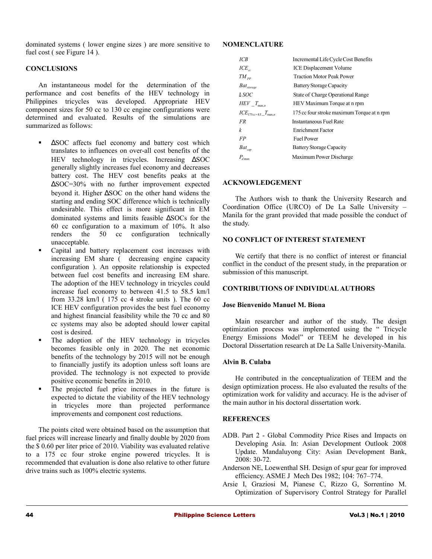dominated systems ( lower engine sizes ) are more sensitive to fuel cost ( see Figure 14 ).

## **CONCLUSIONS**

An instantaneous model for the determination of the performance and cost benefits of the HEV technology in Philippines tricycles was developed. Appropriate HEV component sizes for 50 cc to 130 cc engine configurations were determined and evaluated. Results of the simulations are summarized as follows:

- ∆SOC affects fuel economy and battery cost which translates to influences on over-all cost benefits of the HEV technology in tricycles. Increasing ∆SOC generally slightly increases fuel economy and decreases battery cost. The HEV cost benefits peaks at the ∆SOC=30% with no further improvement expected beyond it. Higher ∆SOC on the other hand widens the starting and ending SOC difference which is technically undesirable. This effect is more significant in EM dominated systems and limits feasible ∆SOCs for the 60 cc configuration to a maximum of 10%. It also renders the 50 cc configuration technically unacceptable.
- Capital and battery replacement cost increases with increasing EM share ( decreasing engine capacity configuration ). An opposite relationship is expected between fuel cost benefits and increasing EM share. The adoption of the HEV technology in tricycles could increase fuel economy to between 41.5 to 58.5 km/l from 33.28 km/l ( 175 cc 4 stroke units ). The 60 cc ICE HEV configuration provides the best fuel economy and highest financial feasibility while the 70 cc and 80 cc systems may also be adopted should lower capital cost is desired.
- The adoption of the HEV technology in tricycles becomes feasible only in 2020. The net economic benefits of the technology by 2015 will not be enough to financially justify its adoption unless soft loans are provided. The technology is not expected to provide positive economic benefits in 2010.
- The projected fuel price increases in the future is expected to dictate the viability of the HEV technology in tricycles more than projected performance improvements and component cost reductions.

The points cited were obtained based on the assumption that fuel prices will increase linearly and finally double by 2020 from the \$ 0.60 per liter price of 2010. Viability was evaluated relative to a 175 cc four stroke engine powered tricycles. It is recommended that evaluation is done also relative to other future drive trains such as 100% electric systems.

# **NOMENCLATURE**

| ICB                                 | Incremental Life Cycle Cost Benefits       |
|-------------------------------------|--------------------------------------------|
| $ICE_{cc}$                          | <b>ICE Displacement Volume</b>             |
| $TM_{pp}$                           | <b>Traction Motor Peak Power</b>           |
| $Bat_{\text{storage}}$              | Battery Storage Capacity                   |
| $\triangle SOC$                     | State of Charge Operational Range          |
| $HEV$ <sub>_T<sub>max.n</sub></sub> | HEV Maximum Torque at n rpm                |
| $ICE_{175cc-4S}T_{\text{max }n}$    | 175 cc four stroke maximum Torque at n rpm |
| FR                                  | <b>Instantaneous Fuel Rate</b>             |
| k                                   | <b>Enrichment Factor</b>                   |
| FP                                  | <b>Fuel Power</b>                          |
| $Bat_{cap}$                         | <b>Battery Storage Capacity</b>            |
| $P_{d \max}$                        | Maximum Power Discharge                    |

# **ACKNOWLEDGEMENT**

The Authors wish to thank the University Research and Coordination Office (URCO) of De La Salle University – Manila for the grant provided that made possible the conduct of the study.

# **NO CONFLICT OF INTEREST STATEMENT**

We certify that there is no conflict of interest or financial conflict in the conduct of the present study, in the preparation or submission of this manuscript.

# **CONTRIBUTIONS OF INDIVIDUAL AUTHORS**

## **Jose Bienvenido Manuel M. Biona**

Main researcher and author of the study. The design optimization process was implemented using the " Tricycle Energy Emissions Model" or TEEM he developed in his Doctoral Dissertation research at De La Salle University-Manila.

## **Alvin B. Culaba**

He contributed in the conceptualization of TEEM and the design optimization process. He also evaluated the results of the optimization work for validity and accuracy. He is the adviser of the main author in his doctoral dissertation work.

# **REFERENCES**

- ADB. Part 2 Global Commodity Price Rises and Impacts on Developing Asia. In: Asian Development Outlook 2008 Update. Mandaluyong City: Asian Development Bank, 2008: 30-72.
- Anderson NE, Loewenthal SH. Design of spur gear for improved efficiency. ASME J Mech Des 1982; 104: 767–774.
- Arsie I, Graziosi M, Pianese C, Rizzo G, Sorrentino M. Optimization of Supervisory Control Strategy for Parallel